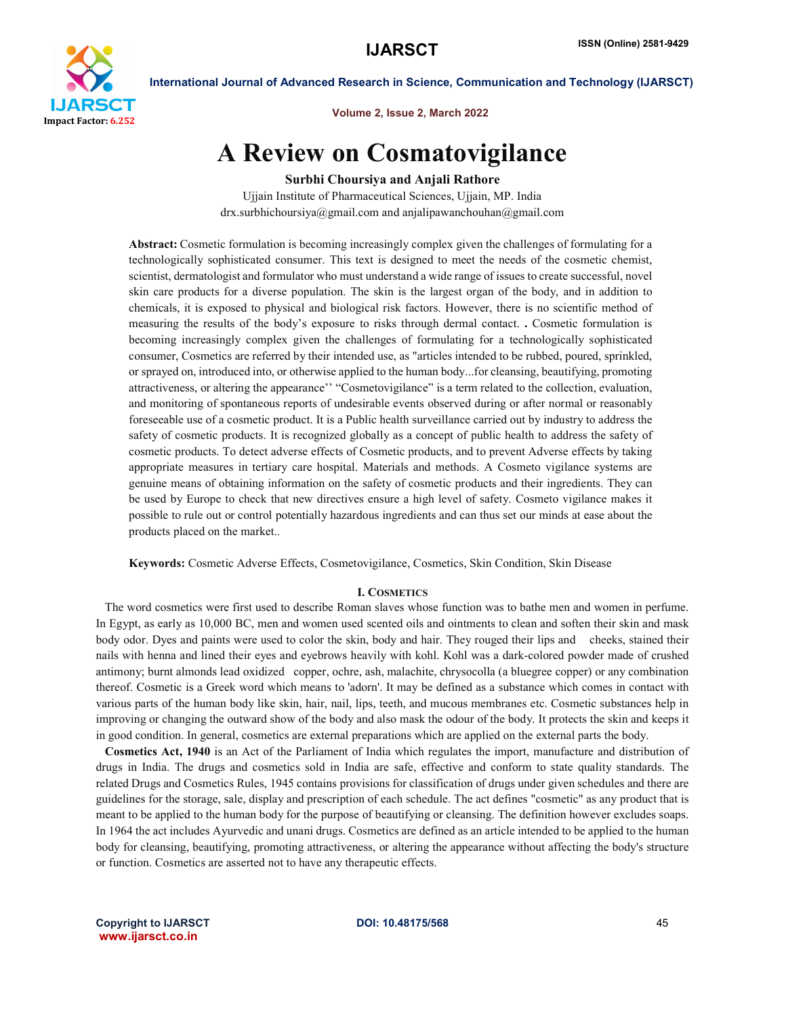

Volume 2, Issue 2, March 2022

# A Review on Cosmatovigilance

Surbhi Choursiya and Anjali Rathore

Ujjain Institute of Pharmaceutical Sciences, Ujjain, MP. India drx.surbhichoursiya@gmail.com and anjalipawanchouhan@gmail.com

Abstract: Cosmetic formulation is becoming increasingly complex given the challenges of formulating for a technologically sophisticated consumer. This text is designed to meet the needs of the cosmetic chemist, scientist, dermatologist and formulator who must understand a wide range of issues to create successful, novel skin care products for a diverse population. The skin is the largest organ of the body, and in addition to chemicals, it is exposed to physical and biological risk factors. However, there is no scientific method of measuring the results of the body's exposure to risks through dermal contact. . Cosmetic formulation is becoming increasingly complex given the challenges of formulating for a technologically sophisticated consumer, Cosmetics are referred by their intended use, as "articles intended to be rubbed, poured, sprinkled, or sprayed on, introduced into, or otherwise applied to the human body...for cleansing, beautifying, promoting attractiveness, or altering the appearance'' "Cosmetovigilance" is a term related to the collection, evaluation, and monitoring of spontaneous reports of undesirable events observed during or after normal or reasonably foreseeable use of a cosmetic product. It is a Public health surveillance carried out by industry to address the safety of cosmetic products. It is recognized globally as a concept of public health to address the safety of cosmetic products. To detect adverse effects of Cosmetic products, and to prevent Adverse effects by taking appropriate measures in tertiary care hospital. Materials and methods. A Cosmeto vigilance systems are genuine means of obtaining information on the safety of cosmetic products and their ingredients. They can be used by Europe to check that new directives ensure a high level of safety. Cosmeto vigilance makes it possible to rule out or control potentially hazardous ingredients and can thus set our minds at ease about the products placed on the market.*.*

Keywords: Cosmetic Adverse Effects, Cosmetovigilance, Cosmetics, Skin Condition, Skin Disease

## I. COSMETICS

 The word cosmetics were first used to describe Roman slaves whose function was to bathe men and women in perfume. In Egypt, as early as 10,000 BC, men and women used scented oils and ointments to clean and soften their skin and mask body odor. Dyes and paints were used to color the skin, body and hair. They rouged their lips and cheeks, stained their nails with henna and lined their eyes and eyebrows heavily with kohl. Kohl was a dark-colored powder made of crushed antimony; burnt almonds lead oxidized copper, ochre, ash, malachite, chrysocolla (a bluegree copper) or any combination thereof. Cosmetic is a Greek word which means to 'adorn'. It may be defined as a substance which comes in contact with various parts of the human body like skin, hair, nail, lips, teeth, and mucous membranes etc. Cosmetic substances help in improving or changing the outward show of the body and also mask the odour of the body. It protects the skin and keeps it in good condition. In general, cosmetics are external preparations which are applied on the external parts the body.

 Cosmetics Act, 1940 is an Act of the Parliament of India which regulates the import, manufacture and distribution of drugs in India. The drugs and cosmetics sold in India are safe, effective and conform to state quality standards. The related Drugs and Cosmetics Rules, 1945 contains provisions for classification of drugs under given schedules and there are guidelines for the storage, sale, display and prescription of each schedule. The act defines "cosmetic" as any product that is meant to be applied to the human body for the purpose of beautifying or cleansing. The definition however excludes soaps. In 1964 the act includes Ayurvedic and unani drugs. Cosmetics are defined as an article intended to be applied to the human body for cleansing, beautifying, promoting attractiveness, or altering the appearance without affecting the body's structure or function. Cosmetics are asserted not to have any therapeutic effects.

Copyright to IJARSCT and the CODI: 10.48175/568 45 www.ijarsct.co.in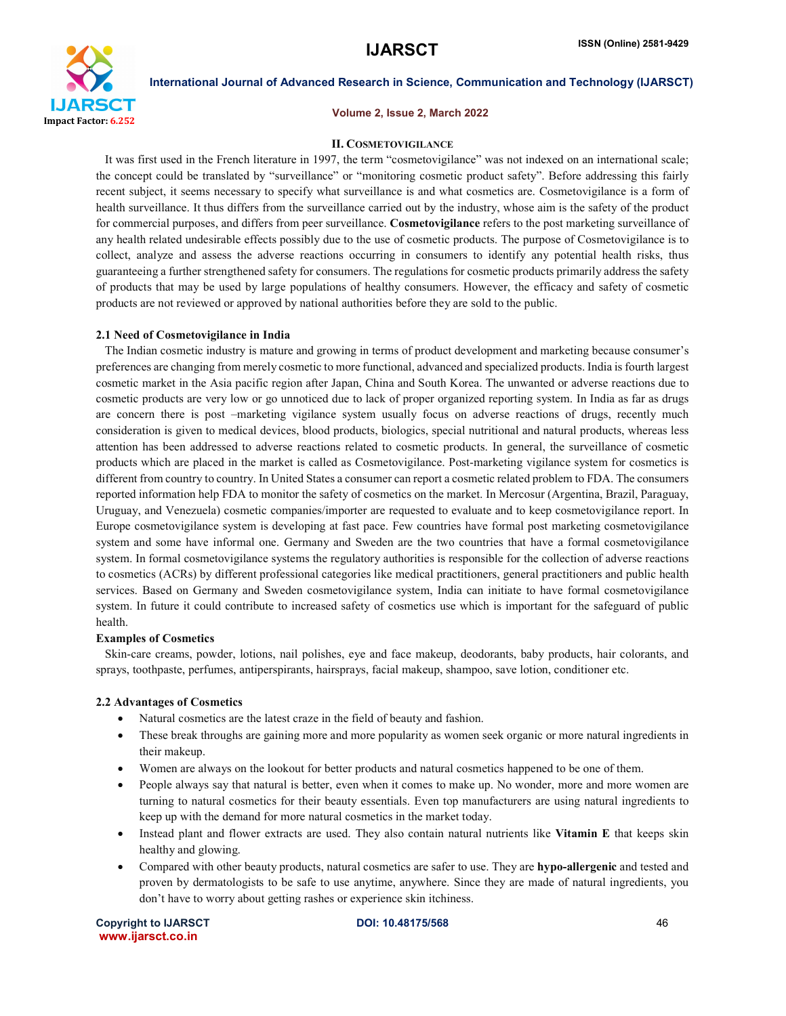

### Volume 2, Issue 2, March 2022

# II. COSMETOVIGILANCE

 It was first used in the French literature in 1997, the term "cosmetovigilance" was not indexed on an international scale; the concept could be translated by "surveillance" or "monitoring cosmetic product safety". Before addressing this fairly recent subject, it seems necessary to specify what surveillance is and what cosmetics are. Cosmetovigilance is a form of health surveillance. It thus differs from the surveillance carried out by the industry, whose aim is the safety of the product for commercial purposes, and differs from peer surveillance. Cosmetovigilance refers to the post marketing surveillance of any health related undesirable effects possibly due to the use of cosmetic products. The purpose of Cosmetovigilance is to collect, analyze and assess the adverse reactions occurring in consumers to identify any potential health risks, thus guaranteeing a further strengthened safety for consumers. The regulations for cosmetic products primarily address the safety of products that may be used by large populations of healthy consumers. However, the efficacy and safety of cosmetic products are not reviewed or approved by national authorities before they are sold to the public.

### 2.1 Need of Cosmetovigilance in India

 The Indian cosmetic industry is mature and growing in terms of product development and marketing because consumer's preferences are changing from merely cosmetic to more functional, advanced and specialized products. India is fourth largest cosmetic market in the Asia pacific region after Japan, China and South Korea. The unwanted or adverse reactions due to cosmetic products are very low or go unnoticed due to lack of proper organized reporting system. In India as far as drugs are concern there is post –marketing vigilance system usually focus on adverse reactions of drugs, recently much consideration is given to medical devices, blood products, biologics, special nutritional and natural products, whereas less attention has been addressed to adverse reactions related to cosmetic products. In general, the surveillance of cosmetic products which are placed in the market is called as Cosmetovigilance. Post-marketing vigilance system for cosmetics is different from country to country. In United States a consumer can report a cosmetic related problem to FDA. The consumers reported information help FDA to monitor the safety of cosmetics on the market. In Mercosur (Argentina, Brazil, Paraguay, Uruguay, and Venezuela) cosmetic companies/importer are requested to evaluate and to keep cosmetovigilance report. In Europe cosmetovigilance system is developing at fast pace. Few countries have formal post marketing cosmetovigilance system and some have informal one. Germany and Sweden are the two countries that have a formal cosmetovigilance system. In formal cosmetovigilance systems the regulatory authorities is responsible for the collection of adverse reactions to cosmetics (ACRs) by different professional categories like medical practitioners, general practitioners and public health services. Based on Germany and Sweden cosmetovigilance system, India can initiate to have formal cosmetovigilance system. In future it could contribute to increased safety of cosmetics use which is important for the safeguard of public health.

### Examples of Cosmetics

 Skin-care creams, powder, lotions, nail polishes, eye and face makeup, deodorants, baby products, hair colorants, and sprays, toothpaste, perfumes, antiperspirants, hairsprays, facial makeup, shampoo, save lotion, conditioner etc.

### 2.2 Advantages of Cosmetics

- Natural cosmetics are the latest craze in the field of beauty and fashion.
- These break throughs are gaining more and more popularity as women seek organic or more natural ingredients in their makeup.
- Women are always on the lookout for better products and natural cosmetics happened to be one of them.
- People always say that natural is better, even when it comes to make up. No wonder, more and more women are turning to natural cosmetics for their beauty essentials. Even top manufacturers are using natural ingredients to keep up with the demand for more natural cosmetics in the market today.
- Instead plant and flower extracts are used. They also contain natural nutrients like Vitamin E that keeps skin healthy and glowing.
- Compared with other beauty products, natural cosmetics are safer to use. They are **hypo-allergenic** and tested and proven by dermatologists to be safe to use anytime, anywhere. Since they are made of natural ingredients, you don't have to worry about getting rashes or experience skin itchiness.

Copyright to IJARSCT and the COLOGO COPYRIGHT DOI: 10.48175/568 www.ijarsct.co.in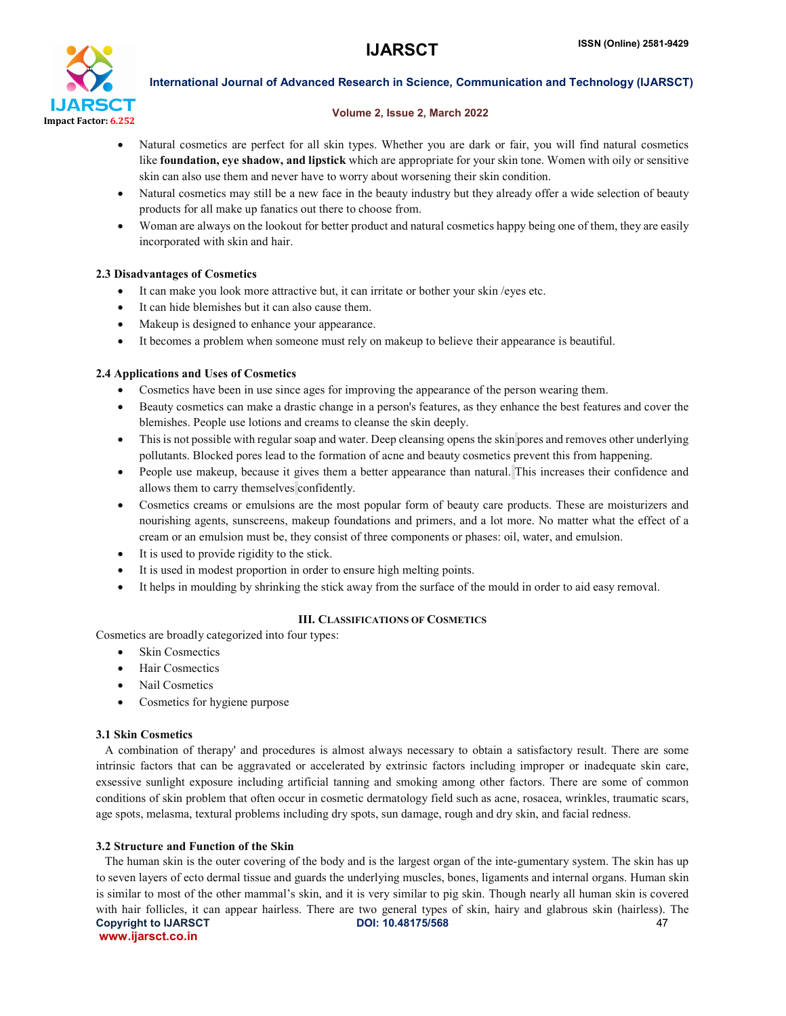

# Volume 2, Issue 2, March 2022

- Natural cosmetics are perfect for all skin types. Whether you are dark or fair, you will find natural cosmetics like **foundation, eye shadow, and lipstick** which are appropriate for your skin tone. Women with oily or sensitive skin can also use them and never have to worry about worsening their skin condition.
- Natural cosmetics may still be a new face in the beauty industry but they already offer a wide selection of beauty products for all make up fanatics out there to choose from.
- Woman are always on the lookout for better product and natural cosmetics happy being one of them, they are easily incorporated with skin and hair.

# 2.3 Disadvantages of Cosmetics

- It can make you look more attractive but, it can irritate or bother your skin /eyes etc.
- It can hide blemishes but it can also cause them.
- Makeup is designed to enhance your appearance.
- It becomes a problem when someone must rely on makeup to believe their appearance is beautiful.

# 2.4 Applications and Uses of Cosmetics

- Cosmetics have been in use since ages for improving the appearance of the person wearing them.
- Beauty cosmetics can make a drastic change in a person's features, as they enhance the best features and cover the blemishes. People use lotions and creams to cleanse the skin deeply.
- This is not possible with regular soap and water. Deep cleansing opens the skin pores and removes other underlying pollutants. Blocked pores lead to the formation of acne and beauty cosmetics prevent this from happening.
- People use makeup, because it gives them a better appearance than natural. This increases their confidence and allows them to carry themselves confidently.
- Cosmetics creams or emulsions are the most popular form of beauty care products. These are moisturizers and nourishing agents, sunscreens, makeup foundations and primers, and a lot more. No matter what the effect of a cream or an emulsion must be, they consist of three components or phases: oil, water, and emulsion.
- It is used to provide rigidity to the stick.
- It is used in modest proportion in order to ensure high melting points.
- It helps in moulding by shrinking the stick away from the surface of the mould in order to aid easy removal.

# III. CLASSIFICATIONS OF COSMETICS

Cosmetics are broadly categorized into four types:

- Skin Cosmectics
- Hair Cosmectics
- Nail Cosmetics
- Cosmetics for hygiene purpose

# 3.1 Skin Cosmetics

 A combination of therapy' and procedures is almost always necessary to obtain a satisfactory result. There are some intrinsic factors that can be aggravated or accelerated by extrinsic factors including improper or inadequate skin care, exsessive sunlight exposure including artificial tanning and smoking among other factors. There are some of common conditions of skin problem that often occur in cosmetic dermatology field such as acne, rosacea, wrinkles, traumatic scars, age spots, melasma, textural problems including dry spots, sun damage, rough and dry skin, and facial redness.

# 3.2 Structure and Function of the Skin

Copyright to IJARSCT **DOI: 10.48175/568** 47 www.ijarsct.co.in The human skin is the outer covering of the body and is the largest organ of the inte-gumentary system. The skin has up to seven layers of ecto dermal tissue and guards the underlying muscles, bones, ligaments and internal organs. Human skin is similar to most of the other mammal's skin, and it is very similar to pig skin. Though nearly all human skin is covered with hair follicles, it can appear hairless. There are two general types of skin, hairy and glabrous skin (hairless). The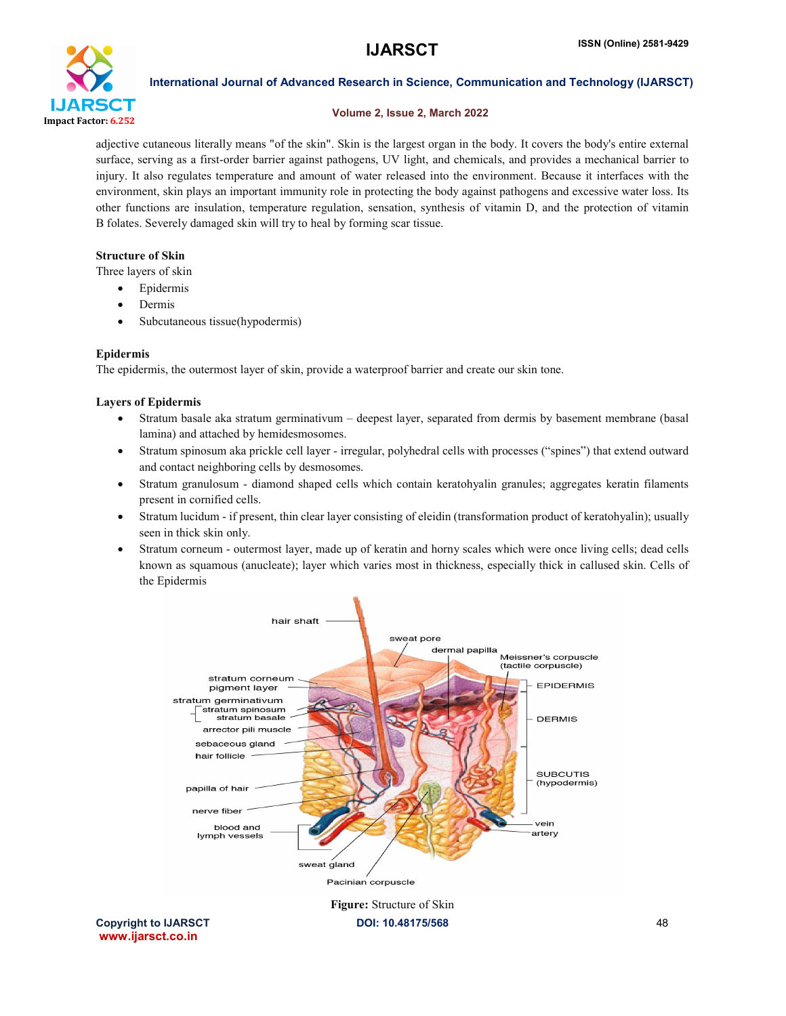

# Volume 2, Issue 2, March 2022

adjective cutaneous literally means "of the skin". Skin is the largest organ in the body. It covers the body's entire external surface, serving as a first-order barrier against pathogens, UV light, and chemicals, and provides a mechanical barrier to injury. It also regulates temperature and amount of water released into the environment. Because it interfaces with the environment, skin plays an important immunity role in protecting the body against pathogens and excessive water loss. Its other functions are insulation, temperature regulation, sensation, synthesis of vitamin D, and the protection of vitamin B folates. Severely damaged skin will try to heal by forming scar tissue.

# Structure of Skin

Three layers of skin

- Epidermis
- Dermis
- Subcutaneous tissue(hypodermis)

# Epidermis

The epidermis, the outermost layer of skin, provide a waterproof barrier and create our skin tone.

# Layers of Epidermis

- Stratum basale aka stratum germinativum deepest layer, separated from dermis by basement membrane (basal lamina) and attached by hemidesmosomes.
- Stratum spinosum aka prickle cell layer irregular, polyhedral cells with processes ("spines") that extend outward and contact neighboring cells by desmosomes.
- Stratum granulosum diamond shaped cells which contain keratohyalin granules; aggregates keratin filaments present in cornified cells.
- Stratum lucidum if present, thin clear layer consisting of eleidin (transformation product of keratohyalin); usually seen in thick skin only.
- Stratum corneum outermost layer, made up of keratin and horny scales which were once living cells; dead cells known as squamous (anucleate); layer which varies most in thickness, especially thick in callused skin. Cells of the Epidermis



Copyright to IJARSCT **DOI: 10.48175/568** 48 www.ijarsct.co.in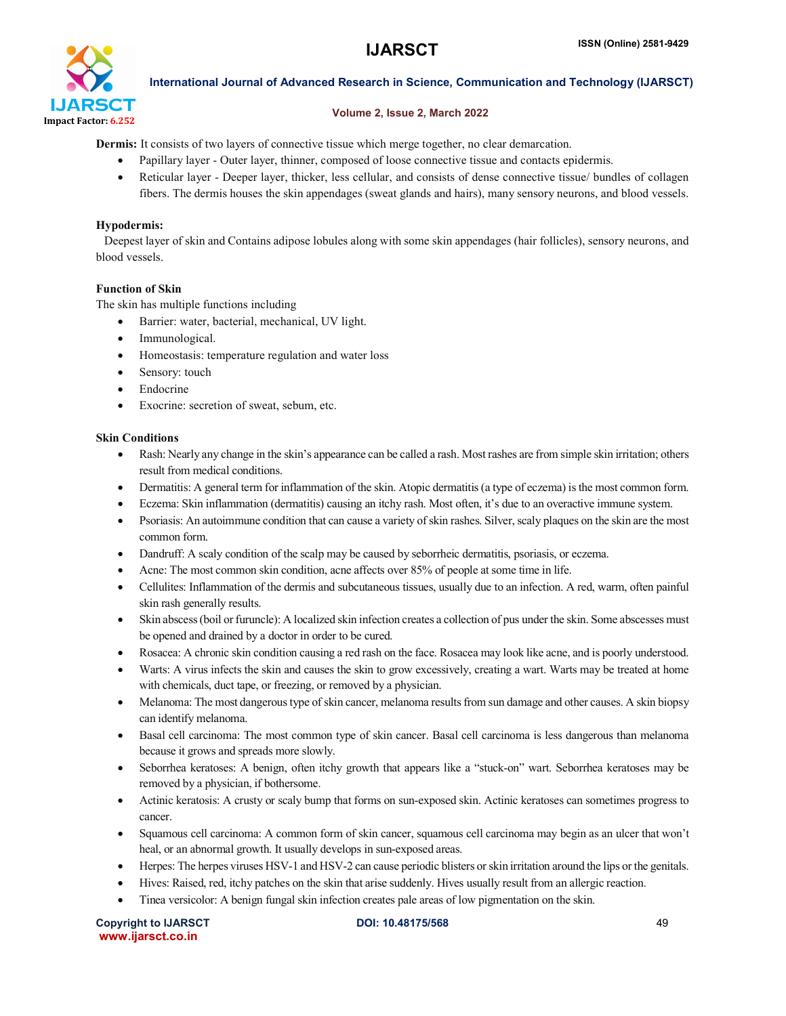

# Volume 2, Issue 2, March 2022

Dermis: It consists of two layers of connective tissue which merge together, no clear demarcation.

- Papillary layer Outer layer, thinner, composed of loose connective tissue and contacts epidermis.
- Reticular layer Deeper layer, thicker, less cellular, and consists of dense connective tissue/ bundles of collagen fibers. The dermis houses the skin appendages (sweat glands and hairs), many sensory neurons, and blood vessels.

# Hypodermis:

 Deepest layer of skin and Contains adipose lobules along with some skin appendages (hair follicles), sensory neurons, and blood vessels.

# Function of Skin

The skin has multiple functions including

- Barrier: water, bacterial, mechanical, UV light.
- Immunological.
- Homeostasis: temperature regulation and water loss
- Sensory: touch
- Endocrine
- Exocrine: secretion of sweat, sebum, etc.

# Skin Conditions

- Rash: Nearly any change in the skin's appearance can be called a rash. Most rashes are from simple skin irritation; others result from medical conditions.
- Dermatitis: A general term for inflammation of the skin. Atopic dermatitis (a type of eczema) is the most common form.
- Eczema: Skin inflammation (dermatitis) causing an itchy rash. Most often, it's due to an overactive immune system.
- Psoriasis: An autoimmune condition that can cause a variety of skin rashes. Silver, scaly plaques on the skin are the most common form.
- Dandruff: A scaly condition of the scalp may be caused by seborrheic dermatitis, psoriasis, or eczema.
- Acne: The most common skin condition, acne affects over 85% of people at some time in life.
- Cellulites: Inflammation of the dermis and subcutaneous tissues, usually due to an infection. A red, warm, often painful skin rash generally results.
- Skin abscess(boil or furuncle): A localized skin infection creates a collection of pus under the skin. Some abscesses must be opened and drained by a doctor in order to be cured.
- Rosacea: A chronic skin condition causing a red rash on the face. Rosacea may look like acne, and is poorly understood.
- Warts: A virus infects the skin and causes the skin to grow excessively, creating a wart. Warts may be treated at home with chemicals, duct tape, or freezing, or removed by a physician.
- Melanoma: The most dangerous type of skin cancer, melanoma results from sun damage and other causes. A skin biopsy can identify melanoma.
- Basal cell carcinoma: The most common type of skin cancer. Basal cell carcinoma is less dangerous than melanoma because it grows and spreads more slowly.
- Seborrhea keratoses: A benign, often itchy growth that appears like a "stuck-on" wart. Seborrhea keratoses may be removed by a physician, if bothersome.
- Actinic keratosis: A crusty or scaly bump that forms on sun-exposed skin. Actinic keratoses can sometimes progress to cancer.
- Squamous cell carcinoma: A common form of skin cancer, squamous cell carcinoma may begin as an ulcer that won't heal, or an abnormal growth. It usually develops in sun-exposed areas.
- Herpes: The herpes viruses HSV-1 and HSV-2 can cause periodic blisters or skin irritation around the lips or the genitals.
- Hives: Raised, red, itchy patches on the skin that arise suddenly. Hives usually result from an allergic reaction.
- Tinea versicolor: A benign fungal skin infection creates pale areas of low pigmentation on the skin.

Copyright to IJARSCT DOI: 10.48175/568 49 www.ijarsct.co.in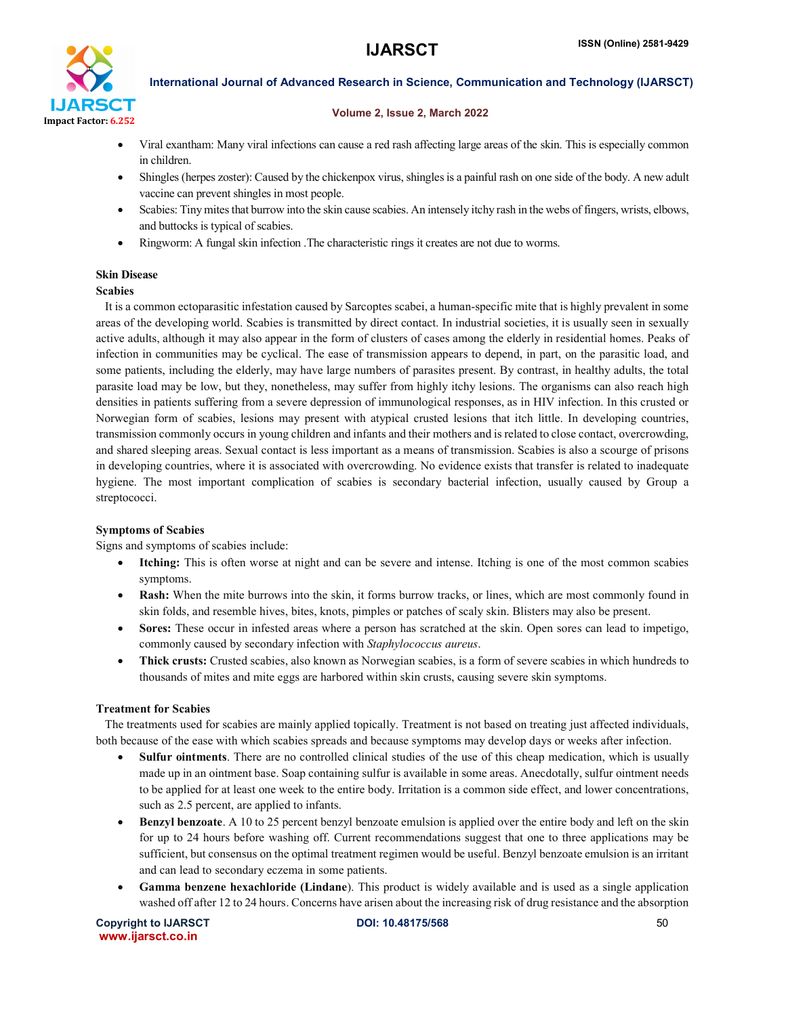

# Volume 2, Issue 2, March 2022

- Viral exantham: Many viral infections can cause a red rash affecting large areas of the skin. This is especially common in children.
- Shingles (herpes zoster): Caused by the chickenpox virus, shingles is a painful rash on one side of the body. A new adult vaccine can prevent shingles in most people.
- Scabies: Tiny mites that burrow into the skin cause scabies. An intensely itchy rash in the webs of fingers, wrists, elbows, and buttocks is typical of scabies.
- Ringworm: A fungal skin infection .The characteristic rings it creates are not due to worms.

# Skin Disease

### Scabies

 It is a common ectoparasitic infestation caused by Sarcoptes scabei, a human-specific mite that is highly prevalent in some areas of the developing world. Scabies is transmitted by direct contact. In industrial societies, it is usually seen in sexually active adults, although it may also appear in the form of clusters of cases among the elderly in residential homes. Peaks of infection in communities may be cyclical. The ease of transmission appears to depend, in part, on the parasitic load, and some patients, including the elderly, may have large numbers of parasites present. By contrast, in healthy adults, the total parasite load may be low, but they, nonetheless, may suffer from highly itchy lesions. The organisms can also reach high densities in patients suffering from a severe depression of immunological responses, as in HIV infection. In this crusted or Norwegian form of scabies, lesions may present with atypical crusted lesions that itch little. In developing countries, transmission commonly occurs in young children and infants and their mothers and is related to close contact, overcrowding, and shared sleeping areas. Sexual contact is less important as a means of transmission. Scabies is also a scourge of prisons in developing countries, where it is associated with overcrowding. No evidence exists that transfer is related to inadequate hygiene. The most important complication of scabies is secondary bacterial infection, usually caused by Group a streptococci.

# Symptoms of Scabies

Signs and symptoms of scabies include:

- Itching: This is often worse at night and can be severe and intense. Itching is one of the most common scabies symptoms.
- Rash: When the mite burrows into the skin, it forms burrow tracks, or lines, which are most commonly found in skin folds, and resemble hives, bites, knots, pimples or patches of scaly skin. Blisters may also be present.
- Sores: These occur in infested areas where a person has scratched at the skin. Open sores can lead to impetigo, commonly caused by secondary infection with *Staphylococcus aureus*.
- Thick crusts: Crusted scabies, also known as Norwegian scabies, is a form of severe scabies in which hundreds to thousands of mites and mite eggs are harbored within skin crusts, causing severe skin symptoms.

# Treatment for Scabies

 The treatments used for scabies are mainly applied topically. Treatment is not based on treating just affected individuals, both because of the ease with which scabies spreads and because symptoms may develop days or weeks after infection.

- Sulfur ointments. There are no controlled clinical studies of the use of this cheap medication, which is usually made up in an ointment base. Soap containing sulfur is available in some areas. Anecdotally, sulfur ointment needs to be applied for at least one week to the entire body. Irritation is a common side effect, and lower concentrations, such as 2.5 percent, are applied to infants.
- Benzyl benzoate. A 10 to 25 percent benzyl benzoate emulsion is applied over the entire body and left on the skin for up to 24 hours before washing off. Current recommendations suggest that one to three applications may be sufficient, but consensus on the optimal treatment regimen would be useful. Benzyl benzoate emulsion is an irritant and can lead to secondary eczema in some patients.
- Gamma benzene hexachloride (Lindane). This product is widely available and is used as a single application washed off after 12 to 24 hours. Concerns have arisen about the increasing risk of drug resistance and the absorption

Copyright to IJARSCT **DOI: 10.48175/568** 50 www.ijarsct.co.in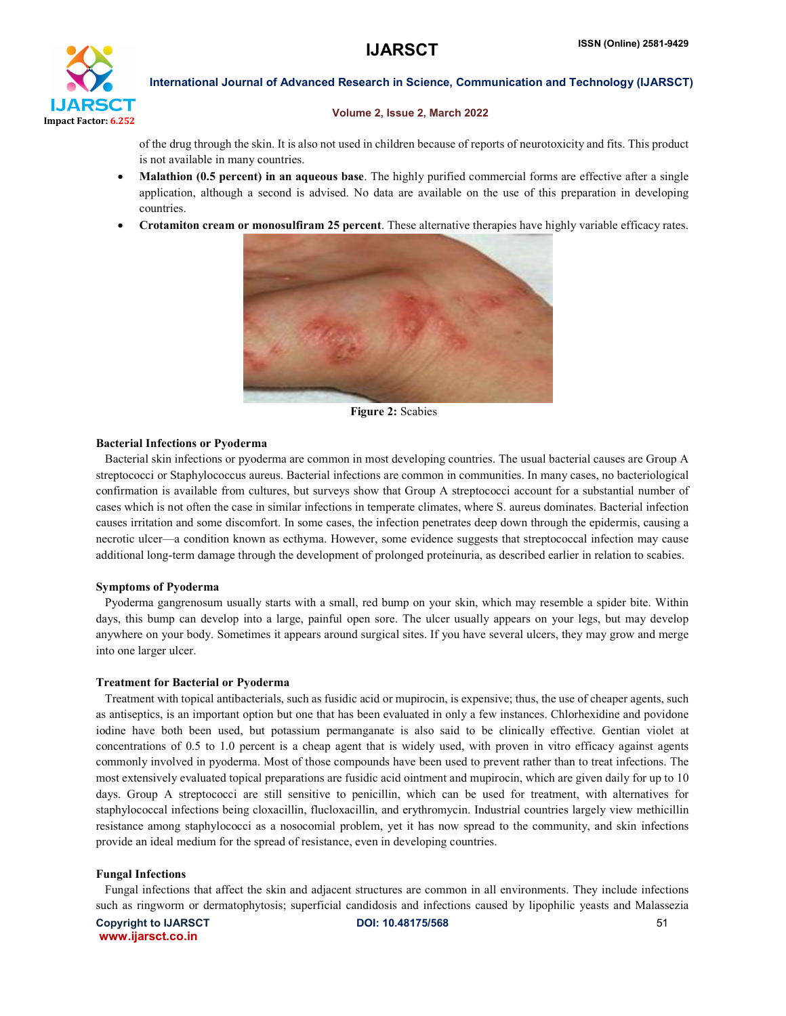

### Volume 2, Issue 2, March 2022

of the drug through the skin. It is also not used in children because of reports of neurotoxicity and fits. This product is not available in many countries.

- Malathion (0.5 percent) in an aqueous base. The highly purified commercial forms are effective after a single application, although a second is advised. No data are available on the use of this preparation in developing countries.
- Crotamiton cream or monosulfiram 25 percent. These alternative therapies have highly variable efficacy rates.



Figure 2: Scabies

### Bacterial Infections or Pyoderma

 Bacterial skin infections or pyoderma are common in most developing countries. The usual bacterial causes are Group A streptococci or Staphylococcus aureus. Bacterial infections are common in communities. In many cases, no bacteriological confirmation is available from cultures, but surveys show that Group A streptococci account for a substantial number of cases which is not often the case in similar infections in temperate climates, where S. aureus dominates. Bacterial infection causes irritation and some discomfort. In some cases, the infection penetrates deep down through the epidermis, causing a necrotic ulcer—a condition known as ecthyma. However, some evidence suggests that streptococcal infection may cause additional long-term damage through the development of prolonged proteinuria, as described earlier in relation to scabies.

### Symptoms of Pyoderma

 Pyoderma gangrenosum usually starts with a small, red bump on your skin, which may resemble a spider bite. Within days, this bump can develop into a large, painful open sore. The ulcer usually appears on your legs, but may develop anywhere on your body. Sometimes it appears around surgical sites. If you have several ulcers, they may grow and merge into one larger ulcer.

### Treatment for Bacterial or Pyoderma

 Treatment with topical antibacterials, such as fusidic acid or mupirocin, is expensive; thus, the use of cheaper agents, such as antiseptics, is an important option but one that has been evaluated in only a few instances. Chlorhexidine and povidone iodine have both been used, but potassium permanganate is also said to be clinically effective. Gentian violet at concentrations of 0.5 to 1.0 percent is a cheap agent that is widely used, with proven in vitro efficacy against agents commonly involved in pyoderma. Most of those compounds have been used to prevent rather than to treat infections. The most extensively evaluated topical preparations are fusidic acid ointment and mupirocin, which are given daily for up to 10 days. Group A streptococci are still sensitive to penicillin, which can be used for treatment, with alternatives for staphylococcal infections being cloxacillin, flucloxacillin, and erythromycin. Industrial countries largely view methicillin resistance among staphylococci as a nosocomial problem, yet it has now spread to the community, and skin infections provide an ideal medium for the spread of resistance, even in developing countries.

### Fungal Infections

 Fungal infections that affect the skin and adjacent structures are common in all environments. They include infections such as ringworm or dermatophytosis; superficial candidosis and infections caused by lipophilic yeasts and Malassezia

Copyright to IJARSCT **DOI: 10.48175/568 S1** www.ijarsct.co.in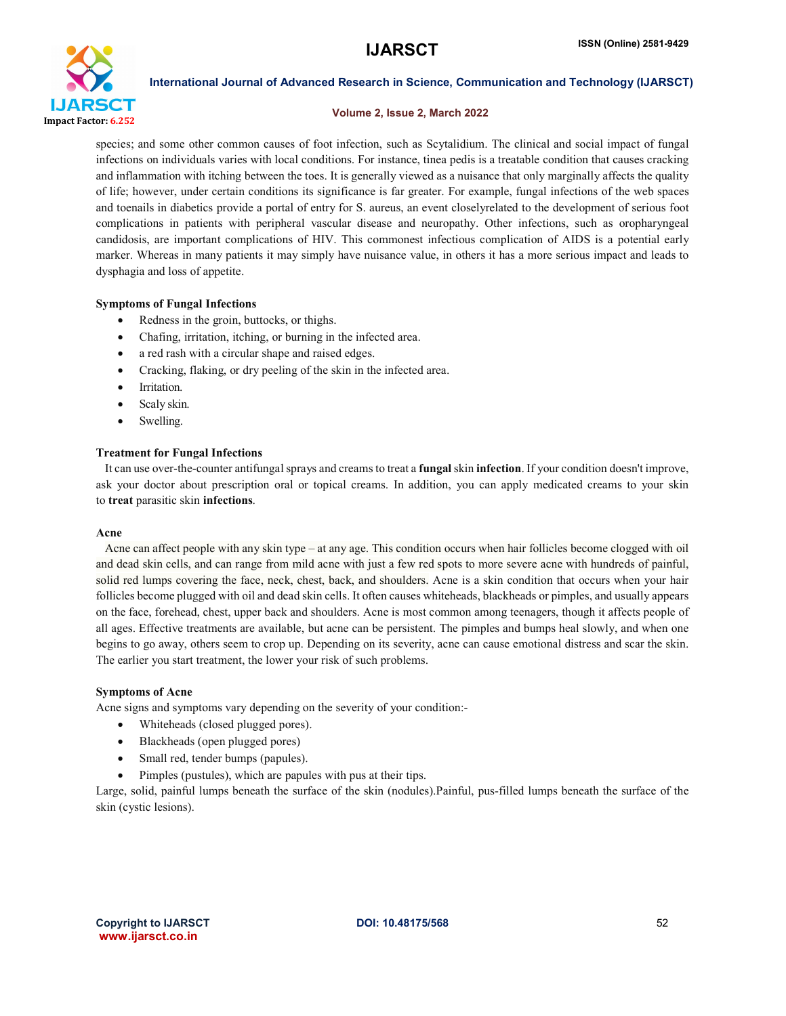

### Volume 2, Issue 2, March 2022

species; and some other common causes of foot infection, such as Scytalidium. The clinical and social impact of fungal infections on individuals varies with local conditions. For instance, tinea pedis is a treatable condition that causes cracking and inflammation with itching between the toes. It is generally viewed as a nuisance that only marginally affects the quality of life; however, under certain conditions its significance is far greater. For example, fungal infections of the web spaces and toenails in diabetics provide a portal of entry for S. aureus, an event closelyrelated to the development of serious foot complications in patients with peripheral vascular disease and neuropathy. Other infections, such as oropharyngeal candidosis, are important complications of HIV. This commonest infectious complication of AIDS is a potential early marker. Whereas in many patients it may simply have nuisance value, in others it has a more serious impact and leads to dysphagia and loss of appetite.

# Symptoms of Fungal Infections

- Redness in the groin, buttocks, or thighs.
- Chafing, irritation, itching, or burning in the infected area.
- a red rash with a circular shape and raised edges.
- Cracking, flaking, or dry peeling of the skin in the infected area.
- Irritation.
- Scaly skin.
- Swelling.

# Treatment for Fungal Infections

 It can use over-the-counter antifungal sprays and creams to treat a fungal skin infection. If your condition doesn't improve, ask your doctor about prescription oral or topical creams. In addition, you can apply medicated creams to your skin to treat parasitic skin infections.

# Acne

 Acne can affect people with any skin type – at any age. This condition occurs when hair follicles become clogged with oil and dead skin cells, and can range from mild acne with just a few red spots to more severe acne with hundreds of painful, solid red lumps covering the face, neck, chest, back, and shoulders. Acne is a skin condition that occurs when your hair follicles become plugged with oil and dead skin cells. It often causes whiteheads, blackheads or pimples, and usually appears on the face, forehead, chest, upper back and shoulders. Acne is most common among teenagers, though it affects people of all ages. Effective treatments are available, but acne can be persistent. The pimples and bumps heal slowly, and when one begins to go away, others seem to crop up. Depending on its severity, acne can cause emotional distress and scar the skin. The earlier you start treatment, the lower your risk of such problems.

# Symptoms of Acne

Acne signs and symptoms vary depending on the severity of your condition:-

- Whiteheads (closed plugged pores).
- Blackheads (open plugged pores)
- Small red, tender bumps (papules).
- Pimples (pustules), which are papules with pus at their tips.

Large, solid, painful lumps beneath the surface of the skin (nodules).Painful, pus-filled lumps beneath the surface of the skin (cystic lesions).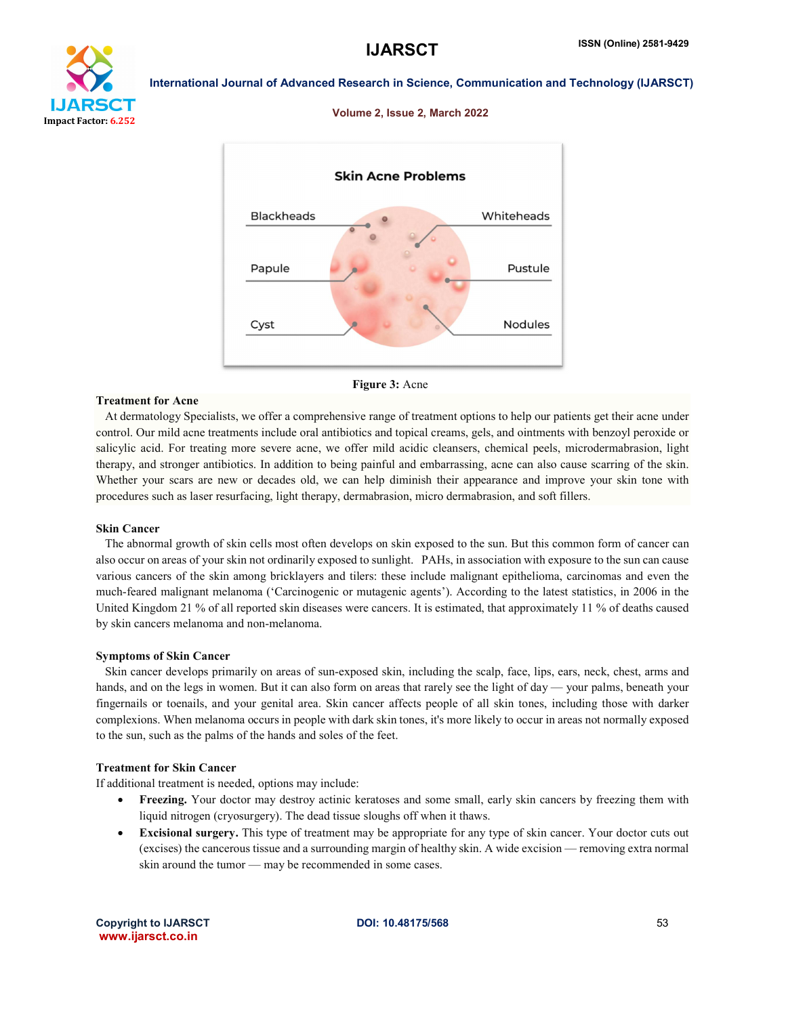





### Figure 3: Acne

### Treatment for Acne

 At dermatology Specialists, we offer a comprehensive range of treatment options to help our patients get their acne under control. Our mild acne treatments include oral antibiotics and topical creams, gels, and ointments with benzoyl peroxide or salicylic acid. For treating more severe acne, we offer mild acidic cleansers, chemical peels, microdermabrasion, light therapy, and stronger antibiotics. In addition to being painful and embarrassing, acne can also cause scarring of the skin. Whether your scars are new or decades old, we can help diminish their appearance and improve your skin tone with procedures such as laser resurfacing, light therapy, dermabrasion, micro dermabrasion, and soft fillers.

### Skin Cancer

 The abnormal growth of skin cells most often develops on skin exposed to the sun. But this common form of cancer can also occur on areas of your skin not ordinarily exposed to sunlight. PAHs, in association with exposure to the sun can cause various cancers of the skin among bricklayers and tilers: these include malignant epithelioma, carcinomas and even the much-feared malignant melanoma ('Carcinogenic or mutagenic agents'). According to the latest statistics, in 2006 in the United Kingdom 21 % of all reported skin diseases were cancers. It is estimated, that approximately 11 % of deaths caused by skin cancers melanoma and non-melanoma.

### Symptoms of Skin Cancer

 Skin cancer develops primarily on areas of sun-exposed skin, including the scalp, face, lips, ears, neck, chest, arms and hands, and on the legs in women. But it can also form on areas that rarely see the light of day — your palms, beneath your fingernails or toenails, and your genital area. Skin cancer affects people of all skin tones, including those with darker complexions. When melanoma occurs in people with dark skin tones, it's more likely to occur in areas not normally exposed to the sun, such as the palms of the hands and soles of the feet.

## Treatment for Skin Cancer

If additional treatment is needed, options may include:

- Freezing. Your doctor may destroy actinic keratoses and some small, early skin cancers by freezing them with liquid nitrogen (cryosurgery). The dead tissue sloughs off when it thaws.
- Excisional surgery. This type of treatment may be appropriate for any type of skin cancer. Your doctor cuts out (excises) the cancerous tissue and a surrounding margin of healthy skin. A wide excision — removing extra normal skin around the tumor — may be recommended in some cases.

Copyright to IJARSCT **DOI: 10.48175/568 S3** www.ijarsct.co.in

# Volume 2, Issue 2, March 2022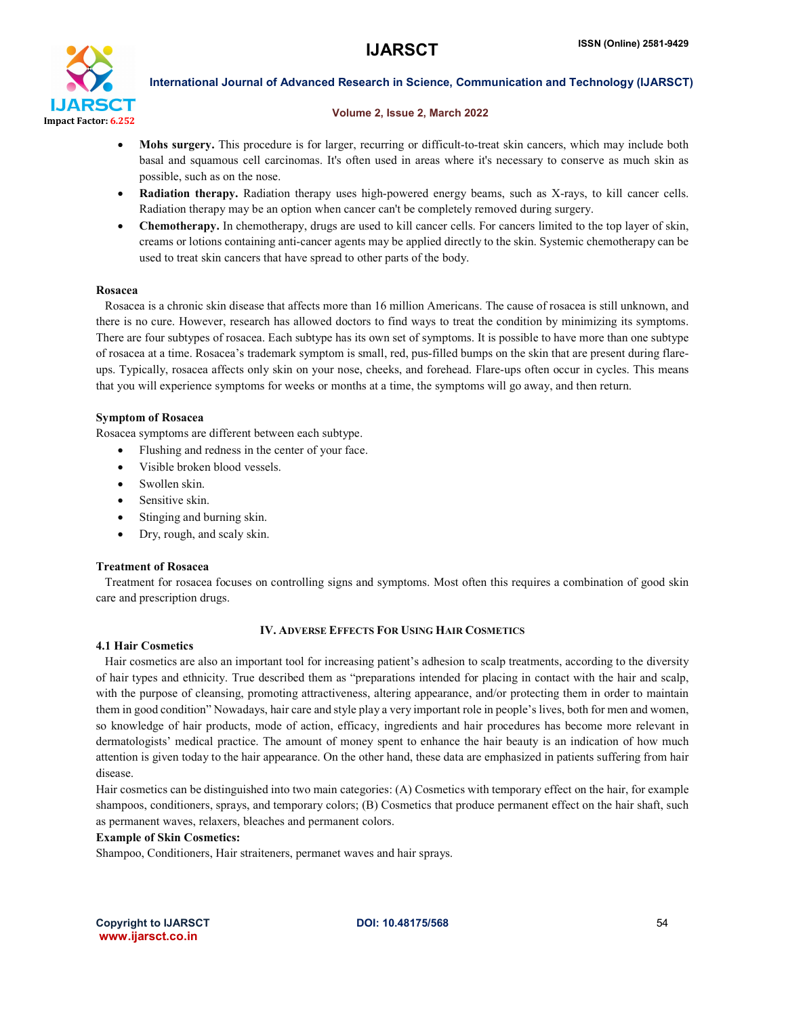

## Volume 2, Issue 2, March 2022

- Mohs surgery. This procedure is for larger, recurring or difficult-to-treat skin cancers, which may include both basal and squamous cell carcinomas. It's often used in areas where it's necessary to conserve as much skin as possible, such as on the nose.
- Radiation therapy. Radiation therapy uses high-powered energy beams, such as X-rays, to kill cancer cells. Radiation therapy may be an option when cancer can't be completely removed during surgery.
- Chemotherapy. In chemotherapy, drugs are used to kill cancer cells. For cancers limited to the top layer of skin, creams or lotions containing anti-cancer agents may be applied directly to the skin. Systemic chemotherapy can be used to treat skin cancers that have spread to other parts of the body.

# Rosacea

 Rosacea is a chronic skin disease that affects more than 16 million Americans. The cause of rosacea is still unknown, and there is no cure. However, research has allowed doctors to find ways to treat the condition by minimizing its symptoms. There are four subtypes of rosacea. Each subtype has its own set of symptoms. It is possible to have more than one subtype of rosacea at a time. Rosacea's trademark symptom is small, red, pus-filled bumps on the skin that are present during flareups. Typically, rosacea affects only skin on your nose, cheeks, and forehead. Flare-ups often occur in cycles. This means that you will experience symptoms for weeks or months at a time, the symptoms will go away, and then return.

# Symptom of Rosacea

Rosacea symptoms are different between each subtype.

- Flushing and redness in the center of your face.
- Visible broken blood vessels.
- Swollen skin.
- Sensitive skin.
- Stinging and burning skin.
- Dry, rough, and scaly skin.

# Treatment of Rosacea

 Treatment for rosacea focuses on controlling signs and symptoms. Most often this requires a combination of good skin care and prescription drugs.

# IV. ADVERSE EFFECTS FOR USING HAIR COSMETICS

# 4.1 Hair Cosmetics

 Hair cosmetics are also an important tool for increasing patient's adhesion to scalp treatments, according to the diversity of hair types and ethnicity. True described them as "preparations intended for placing in contact with the hair and scalp, with the purpose of cleansing, promoting attractiveness, altering appearance, and/or protecting them in order to maintain them in good condition" Nowadays, hair care and style play a very important role in people's lives, both for men and women, so knowledge of hair products, mode of action, efficacy, ingredients and hair procedures has become more relevant in dermatologists' medical practice. The amount of money spent to enhance the hair beauty is an indication of how much attention is given today to the hair appearance. On the other hand, these data are emphasized in patients suffering from hair disease.

Hair cosmetics can be distinguished into two main categories: (A) Cosmetics with temporary effect on the hair, for example shampoos, conditioners, sprays, and temporary colors; (B) Cosmetics that produce permanent effect on the hair shaft, such as permanent waves, relaxers, bleaches and permanent colors.

# Example of Skin Cosmetics:

Shampoo, Conditioners, Hair straiteners, permanet waves and hair sprays.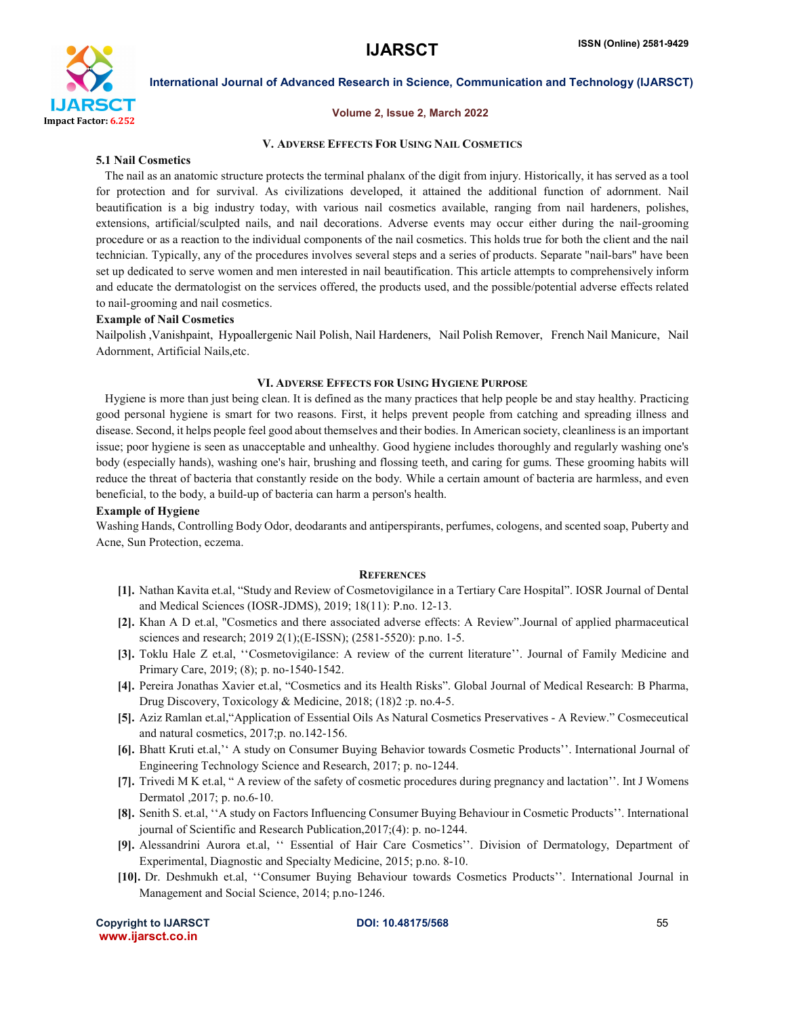

### Volume 2, Issue 2, March 2022

# V. ADVERSE EFFECTS FOR USING NAIL COSMETICS

### 5.1 Nail Cosmetics

 The nail as an anatomic structure protects the terminal phalanx of the digit from injury. Historically, it has served as a tool for protection and for survival. As civilizations developed, it attained the additional function of adornment. Nail beautification is a big industry today, with various nail cosmetics available, ranging from nail hardeners, polishes, extensions, artificial/sculpted nails, and nail decorations. Adverse events may occur either during the nail-grooming procedure or as a reaction to the individual components of the nail cosmetics. This holds true for both the client and the nail technician. Typically, any of the procedures involves several steps and a series of products. Separate "nail-bars" have been set up dedicated to serve women and men interested in nail beautification. This article attempts to comprehensively inform and educate the dermatologist on the services offered, the products used, and the possible/potential adverse effects related to nail-grooming and nail cosmetics.

# Example of Nail Cosmetics

Nailpolish ,Vanishpaint, Hypoallergenic Nail Polish, Nail Hardeners, Nail Polish Remover, French Nail Manicure, Nail Adornment, Artificial Nails,etc.

### VI. ADVERSE EFFECTS FOR USING HYGIENE PURPOSE

 Hygiene is more than just being clean. It is defined as the many practices that help people be and stay healthy. Practicing good personal hygiene is smart for two reasons. First, it helps prevent people from catching and spreading illness and disease. Second, it helps people feel good about themselves and their bodies. In American society, cleanliness is an important issue; poor hygiene is seen as unacceptable and unhealthy. Good hygiene includes thoroughly and regularly washing one's body (especially hands), washing one's hair, brushing and flossing teeth, and caring for gums. These grooming habits will reduce the threat of bacteria that constantly reside on the body. While a certain amount of bacteria are harmless, and even beneficial, to the body, a build-up of bacteria can harm a person's health.

# Example of Hygiene

Washing Hands, Controlling Body Odor, deodarants and antiperspirants, perfumes, cologens, and scented soap, Puberty and Acne, Sun Protection, eczema.

### **REFERENCES**

- [1]. Nathan Kavita et.al, "Study and Review of Cosmetovigilance in a Tertiary Care Hospital". IOSR Journal of Dental and Medical Sciences (IOSR-JDMS), 2019; 18(11): P.no. 12-13.
- [2]. Khan A D et.al, "Cosmetics and there associated adverse effects: A Review".Journal of applied pharmaceutical sciences and research; 2019 2(1);(E-ISSN); (2581-5520): p.no. 1-5.
- [3]. Toklu Hale Z et.al, ''Cosmetovigilance: A review of the current literature''. Journal of Family Medicine and Primary Care, 2019; (8); p. no-1540-1542.
- [4]. Pereira Jonathas Xavier et.al, "Cosmetics and its Health Risks". Global Journal of Medical Research: B Pharma, Drug Discovery, Toxicology & Medicine, 2018; (18)2 :p. no.4-5.
- [5]. Aziz Ramlan et.al,"Application of Essential Oils As Natural Cosmetics Preservatives A Review." Cosmeceutical and natural cosmetics, 2017;p. no.142-156.
- [6]. Bhatt Kruti et.al,'' A study on Consumer Buying Behavior towards Cosmetic Products''. International Journal of Engineering Technology Science and Research, 2017; p. no-1244.
- [7]. Trivedi M K et.al, " A review of the safety of cosmetic procedures during pregnancy and lactation''. Int J Womens Dermatol ,2017; p. no.6-10.
- [8]. Senith S. et.al, ''A study on Factors Influencing Consumer Buying Behaviour in Cosmetic Products''. International journal of Scientific and Research Publication,2017;(4): p. no-1244.
- [9]. Alessandrini Aurora et.al, '' Essential of Hair Care Cosmetics''. Division of Dermatology, Department of Experimental, Diagnostic and Specialty Medicine, 2015; p.no. 8-10.
- [10]. Dr. Deshmukh et.al, ''Consumer Buying Behaviour towards Cosmetics Products''. International Journal in Management and Social Science, 2014; p.no-1246.